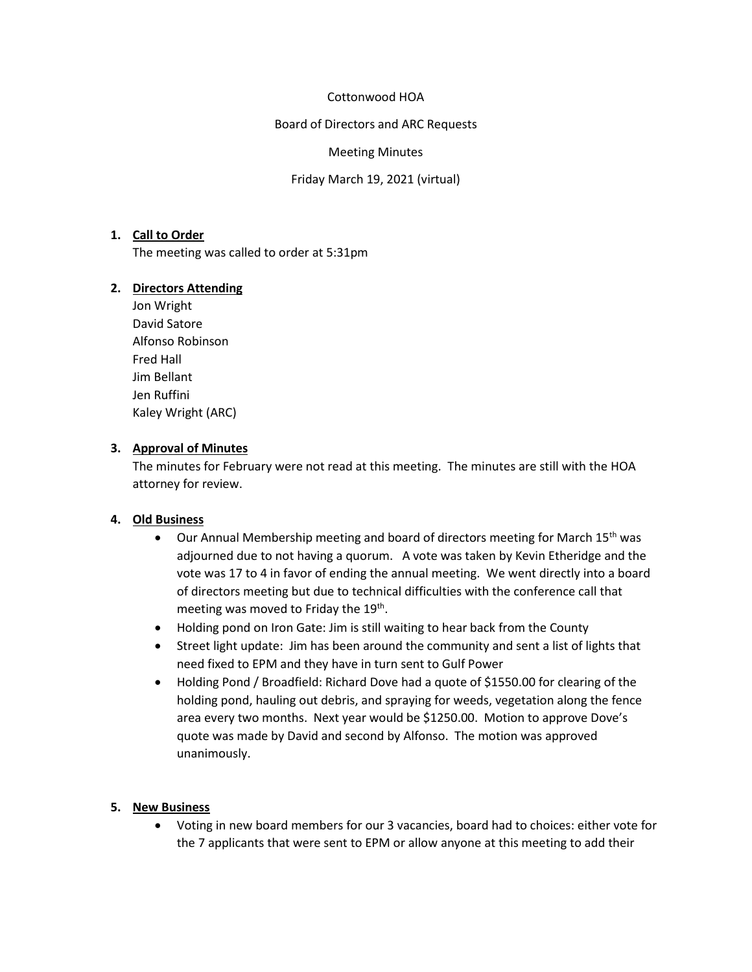## Cottonwood HOA

Board of Directors and ARC Requests

#### Meeting Minutes

Friday March 19, 2021 (virtual)

## **1. Call to Order**

The meeting was called to order at 5:31pm

#### **2. Directors Attending**

Jon Wright David Satore Alfonso Robinson Fred Hall Jim Bellant Jen Ruffini Kaley Wright (ARC)

#### **3. Approval of Minutes**

The minutes for February were not read at this meeting. The minutes are still with the HOA attorney for review.

## **4. Old Business**

- Our Annual Membership meeting and board of directors meeting for March 15<sup>th</sup> was adjourned due to not having a quorum. A vote was taken by Kevin Etheridge and the vote was 17 to 4 in favor of ending the annual meeting. We went directly into a board of directors meeting but due to technical difficulties with the conference call that meeting was moved to Friday the 19<sup>th</sup>.
- Holding pond on Iron Gate: Jim is still waiting to hear back from the County
- Street light update: Jim has been around the community and sent a list of lights that need fixed to EPM and they have in turn sent to Gulf Power
- Holding Pond / Broadfield: Richard Dove had a quote of \$1550.00 for clearing of the holding pond, hauling out debris, and spraying for weeds, vegetation along the fence area every two months. Next year would be \$1250.00. Motion to approve Dove's quote was made by David and second by Alfonso. The motion was approved unanimously.

## **5. New Business**

• Voting in new board members for our 3 vacancies, board had to choices: either vote for the 7 applicants that were sent to EPM or allow anyone at this meeting to add their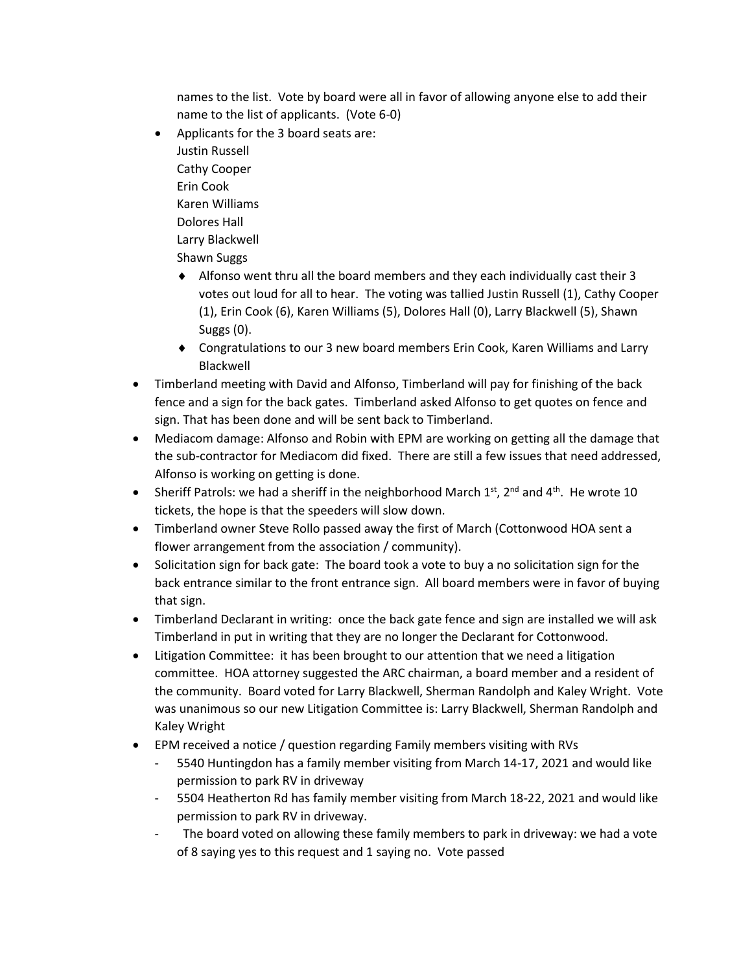names to the list. Vote by board were all in favor of allowing anyone else to add their name to the list of applicants. (Vote 6-0)

- Applicants for the 3 board seats are: Justin Russell Cathy Cooper Erin Cook Karen Williams Dolores Hall Larry Blackwell Shawn Suggs
	- Alfonso went thru all the board members and they each individually cast their 3 votes out loud for all to hear. The voting was tallied Justin Russell (1), Cathy Cooper (1), Erin Cook (6), Karen Williams (5), Dolores Hall (0), Larry Blackwell (5), Shawn Suggs (0).
	- Congratulations to our 3 new board members Erin Cook, Karen Williams and Larry Blackwell
- Timberland meeting with David and Alfonso, Timberland will pay for finishing of the back fence and a sign for the back gates. Timberland asked Alfonso to get quotes on fence and sign. That has been done and will be sent back to Timberland.
- Mediacom damage: Alfonso and Robin with EPM are working on getting all the damage that the sub-contractor for Mediacom did fixed. There are still a few issues that need addressed, Alfonso is working on getting is done.
- Sheriff Patrols: we had a sheriff in the neighborhood March  $1<sup>st</sup>$ ,  $2<sup>nd</sup>$  and  $4<sup>th</sup>$ . He wrote 10 tickets, the hope is that the speeders will slow down.
- Timberland owner Steve Rollo passed away the first of March (Cottonwood HOA sent a flower arrangement from the association / community).
- Solicitation sign for back gate: The board took a vote to buy a no solicitation sign for the back entrance similar to the front entrance sign. All board members were in favor of buying that sign.
- Timberland Declarant in writing: once the back gate fence and sign are installed we will ask Timberland in put in writing that they are no longer the Declarant for Cottonwood.
- Litigation Committee: it has been brought to our attention that we need a litigation committee. HOA attorney suggested the ARC chairman, a board member and a resident of the community. Board voted for Larry Blackwell, Sherman Randolph and Kaley Wright. Vote was unanimous so our new Litigation Committee is: Larry Blackwell, Sherman Randolph and Kaley Wright
- EPM received a notice / question regarding Family members visiting with RVs
	- 5540 Huntingdon has a family member visiting from March 14-17, 2021 and would like permission to park RV in driveway
	- 5504 Heatherton Rd has family member visiting from March 18-22, 2021 and would like permission to park RV in driveway.
	- The board voted on allowing these family members to park in driveway: we had a vote of 8 saying yes to this request and 1 saying no. Vote passed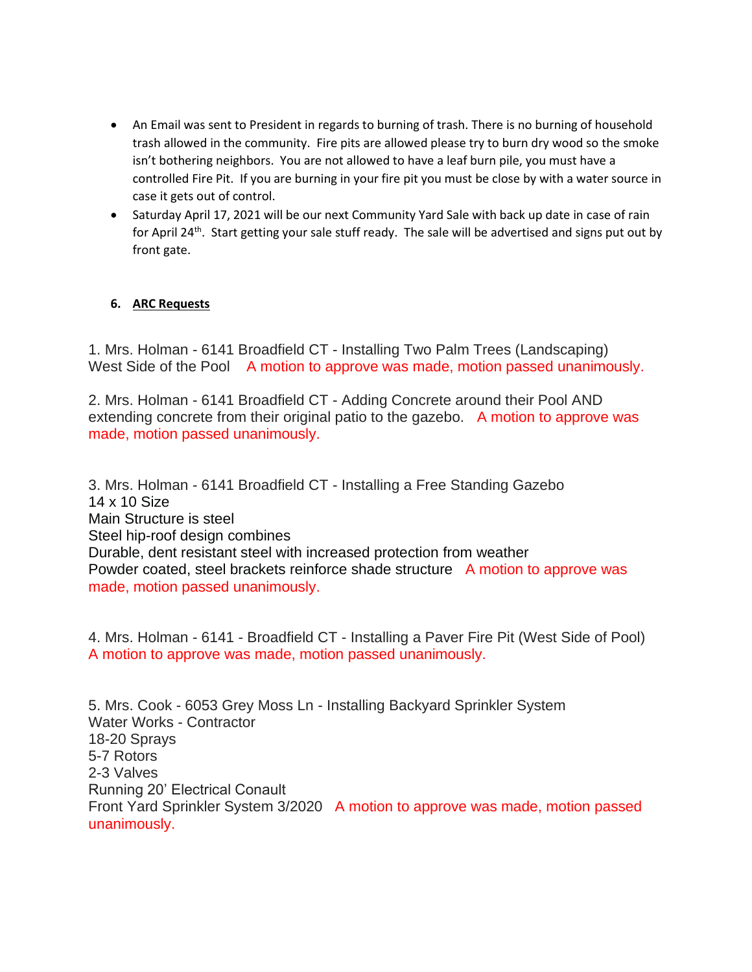- An Email was sent to President in regards to burning of trash. There is no burning of household trash allowed in the community. Fire pits are allowed please try to burn dry wood so the smoke isn't bothering neighbors. You are not allowed to have a leaf burn pile, you must have a controlled Fire Pit. If you are burning in your fire pit you must be close by with a water source in case it gets out of control.
- Saturday April 17, 2021 will be our next Community Yard Sale with back up date in case of rain for April 24<sup>th</sup>. Start getting your sale stuff ready. The sale will be advertised and signs put out by front gate.

## **6. ARC Requests**

1. Mrs. Holman - 6141 Broadfield CT - Installing Two Palm Trees (Landscaping) West Side of the Pool A motion to approve was made, motion passed unanimously.

2. Mrs. Holman - 6141 Broadfield CT - Adding Concrete around their Pool AND extending concrete from their original patio to the gazebo. A motion to approve was made, motion passed unanimously.

3. Mrs. Holman - 6141 Broadfield CT - Installing a Free Standing Gazebo 14 x 10 Size Main Structure is steel Steel hip-roof design combines Durable, dent resistant steel with increased protection from weather Powder coated, steel brackets reinforce shade structure A motion to approve was made, motion passed unanimously.

4. Mrs. Holman - 6141 - Broadfield CT - Installing a Paver Fire Pit (West Side of Pool) A motion to approve was made, motion passed unanimously.

5. Mrs. Cook - 6053 Grey Moss Ln - Installing Backyard Sprinkler System Water Works - Contractor 18-20 Sprays 5-7 Rotors 2-3 Valves Running 20' Electrical Conault Front Yard Sprinkler System 3/2020 A motion to approve was made, motion passed unanimously.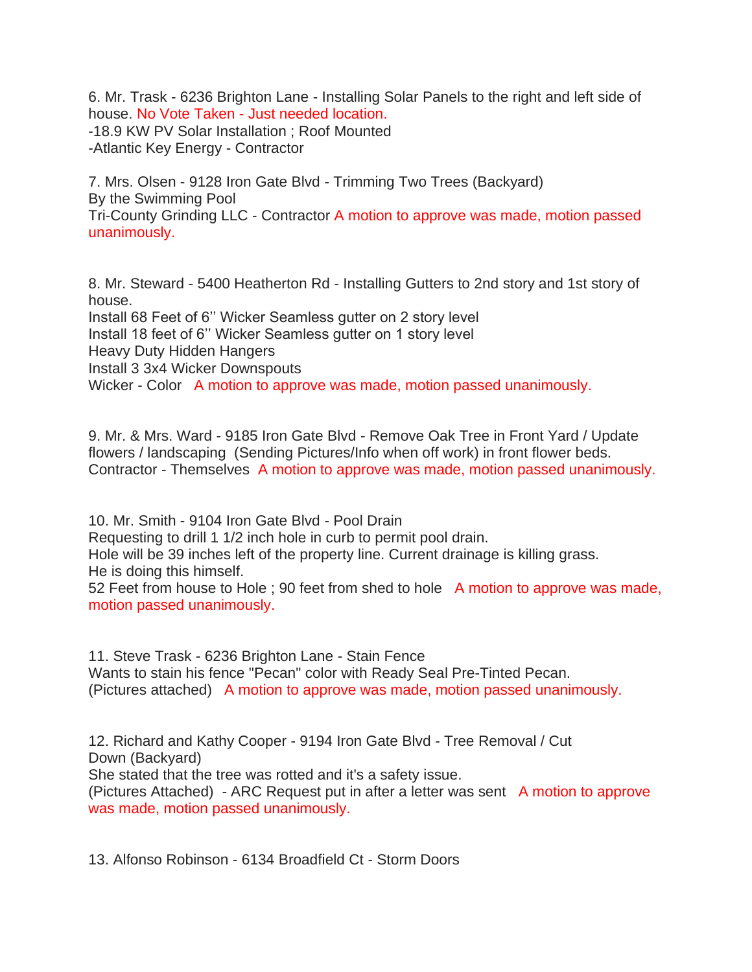6. Mr. Trask - 6236 Brighton Lane - Installing Solar Panels to the right and left side of house. No Vote Taken - Just needed location. -18.9 KW PV Solar Installation ; Roof Mounted -Atlantic Key Energy - Contractor

7. Mrs. Olsen - 9128 Iron Gate Blvd - Trimming Two Trees (Backyard) By the Swimming Pool Tri-County Grinding LLC - Contractor A motion to approve was made, motion passed unanimously.

8. Mr. Steward - 5400 Heatherton Rd - Installing Gutters to 2nd story and 1st story of house. Install 68 Feet of 6'' Wicker Seamless gutter on 2 story level Install 18 feet of 6'' Wicker Seamless gutter on 1 story level Heavy Duty Hidden Hangers Install 3 3x4 Wicker Downspouts Wicker - Color A motion to approve was made, motion passed unanimously.

9. Mr. & Mrs. Ward - 9185 Iron Gate Blvd - Remove Oak Tree in Front Yard / Update flowers / landscaping (Sending Pictures/Info when off work) in front flower beds. Contractor - Themselves A motion to approve was made, motion passed unanimously.

10. Mr. Smith - 9104 Iron Gate Blvd - Pool Drain Requesting to drill 1 1/2 inch hole in curb to permit pool drain. Hole will be 39 inches left of the property line. Current drainage is killing grass. He is doing this himself.

52 Feet from house to Hole ; 90 feet from shed to hole A motion to approve was made, motion passed unanimously.

11. Steve Trask - 6236 Brighton Lane - Stain Fence Wants to stain his fence "Pecan" color with Ready Seal Pre-Tinted Pecan. (Pictures attached) A motion to approve was made, motion passed unanimously.

12. Richard and Kathy Cooper - 9194 Iron Gate Blvd - Tree Removal / Cut Down (Backyard) She stated that the tree was rotted and it's a safety issue. (Pictures Attached) - ARC Request put in after a letter was sent A motion to approve was made, motion passed unanimously.

13. Alfonso Robinson - 6134 Broadfield Ct - Storm Doors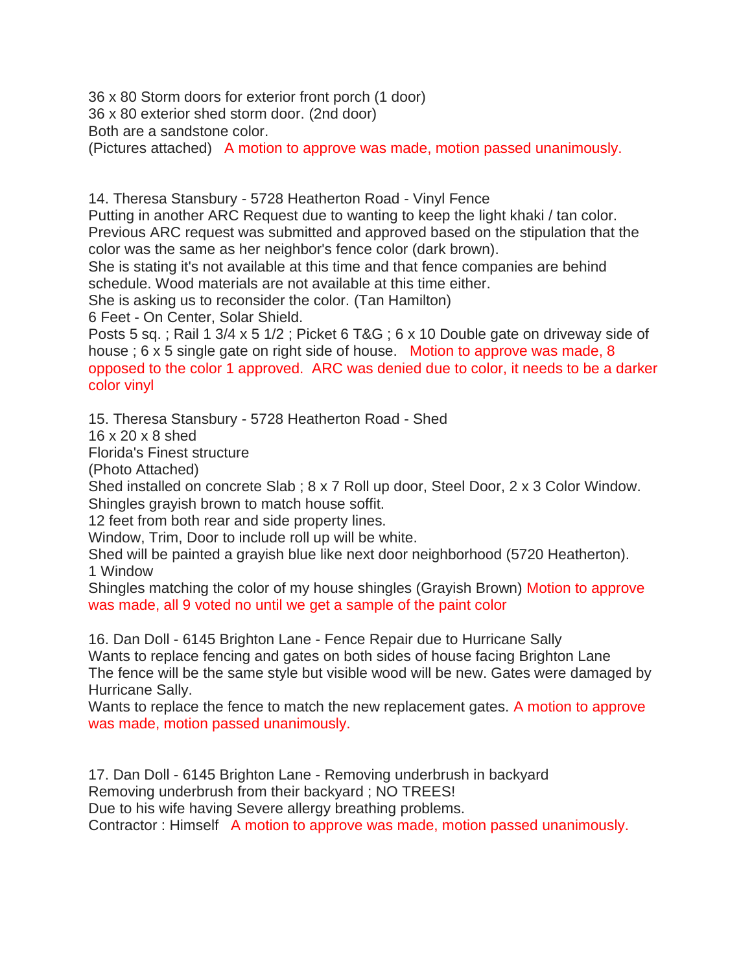36 x 80 Storm doors for exterior front porch (1 door)

36 x 80 exterior shed storm door. (2nd door)

Both are a sandstone color.

(Pictures attached) A motion to approve was made, motion passed unanimously.

14. Theresa Stansbury - 5728 Heatherton Road - Vinyl Fence

Putting in another ARC Request due to wanting to keep the light khaki / tan color. Previous ARC request was submitted and approved based on the stipulation that the color was the same as her neighbor's fence color (dark brown).

She is stating it's not available at this time and that fence companies are behind schedule. Wood materials are not available at this time either.

She is asking us to reconsider the color. (Tan Hamilton)

6 Feet - On Center, Solar Shield.

Posts 5 sq. ; Rail 1 3/4 x 5 1/2 ; Picket 6 T&G ; 6 x 10 Double gate on driveway side of house ; 6 x 5 single gate on right side of house. Motion to approve was made, 8 opposed to the color 1 approved. ARC was denied due to color, it needs to be a darker color vinyl

15. Theresa Stansbury - 5728 Heatherton Road - Shed

16 x 20 x 8 shed

Florida's Finest structure

(Photo Attached)

Shed installed on concrete Slab ; 8 x 7 Roll up door, Steel Door, 2 x 3 Color Window. Shingles grayish brown to match house soffit.

12 feet from both rear and side property lines.

Window, Trim, Door to include roll up will be white.

Shed will be painted a grayish blue like next door neighborhood (5720 Heatherton). 1 Window

Shingles matching the color of my house shingles (Grayish Brown) Motion to approve was made, all 9 voted no until we get a sample of the paint color

16. Dan Doll - 6145 Brighton Lane - Fence Repair due to Hurricane Sally Wants to replace fencing and gates on both sides of house facing Brighton Lane The fence will be the same style but visible wood will be new. Gates were damaged by Hurricane Sally.

Wants to replace the fence to match the new replacement gates. A motion to approve was made, motion passed unanimously.

17. Dan Doll - 6145 Brighton Lane - Removing underbrush in backyard Removing underbrush from their backyard ; NO TREES! Due to his wife having Severe allergy breathing problems. Contractor : Himself A motion to approve was made, motion passed unanimously.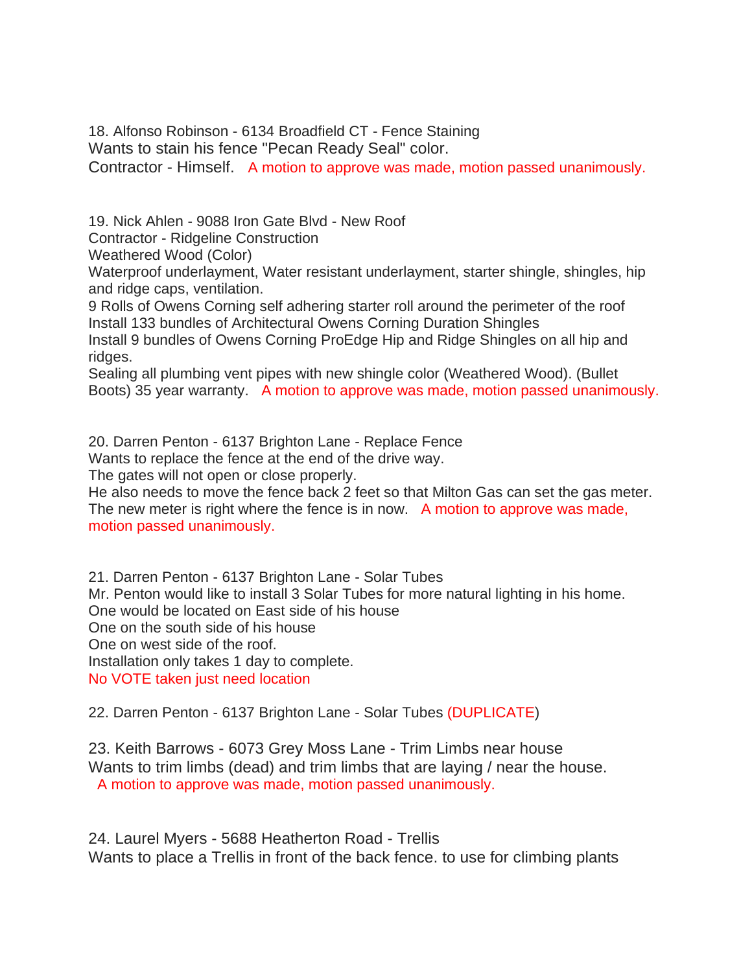18. Alfonso Robinson - 6134 Broadfield CT - Fence Staining Wants to stain his fence "Pecan Ready Seal" color. Contractor - Himself. A motion to approve was made, motion passed unanimously.

19. Nick Ahlen - 9088 Iron Gate Blvd - New Roof

Contractor - Ridgeline Construction

Weathered Wood (Color)

Waterproof underlayment, Water resistant underlayment, starter shingle, shingles, hip and ridge caps, ventilation.

9 Rolls of Owens Corning self adhering starter roll around the perimeter of the roof Install 133 bundles of Architectural Owens Corning Duration Shingles

Install 9 bundles of Owens Corning ProEdge Hip and Ridge Shingles on all hip and ridges.

Sealing all plumbing vent pipes with new shingle color (Weathered Wood). (Bullet Boots) 35 year warranty. A motion to approve was made, motion passed unanimously.

20. Darren Penton - 6137 Brighton Lane - Replace Fence

Wants to replace the fence at the end of the drive way.

The gates will not open or close properly.

He also needs to move the fence back 2 feet so that Milton Gas can set the gas meter. The new meter is right where the fence is in now. A motion to approve was made, motion passed unanimously.

21. Darren Penton - 6137 Brighton Lane - Solar Tubes Mr. Penton would like to install 3 Solar Tubes for more natural lighting in his home. One would be located on East side of his house One on the south side of his house One on west side of the roof. Installation only takes 1 day to complete. No VOTE taken just need location

22. Darren Penton - 6137 Brighton Lane - Solar Tubes (DUPLICATE)

23. Keith Barrows - 6073 Grey Moss Lane - Trim Limbs near house Wants to trim limbs (dead) and trim limbs that are laying / near the house. A motion to approve was made, motion passed unanimously.

24. Laurel Myers - 5688 Heatherton Road - Trellis Wants to place a Trellis in front of the back fence. to use for climbing plants